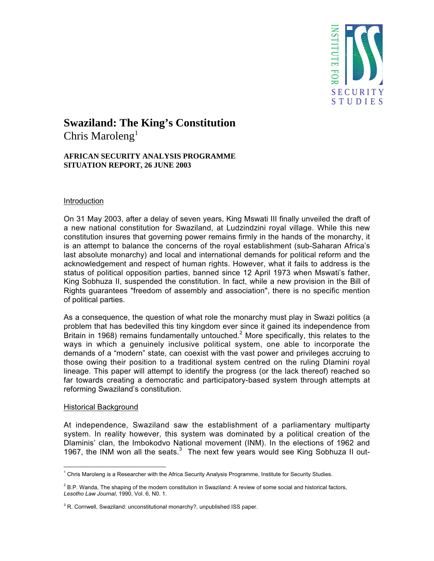

# **Swaziland: The King's Constitution**

Chris Maroleng<sup>1</sup>

## **AFRICAN SECURITY ANALYSIS PROGRAMME SITUATION REPORT, 26 JUNE 2003**

## Introduction

On 31 May 2003, after a delay of seven years, King Mswati III finally unveiled the draft of a new national constitution for Swaziland, at Ludzindzini royal village. While this new constitution insures that governing power remains firmly in the hands of the monarchy, it is an attempt to balance the concerns of the royal establishment (sub-Saharan Africa's last absolute monarchy) and local and international demands for political reform and the acknowledgement and respect of human rights. However, what it fails to address is the status of political opposition parties, banned since 12 April 1973 when Mswati's father, King Sobhuza II, suspended the constitution. In fact, while a new provision in the Bill of Rights guarantees "freedom of assembly and association", there is no specific mention of political parties.

As a consequence, the question of what role the monarchy must play in Swazi politics (a problem that has bedevilled this tiny kingdom ever since it gained its independence from Britain in 1968) remains fundamentally untouched.<sup>2</sup> More specifically, this relates to the ways in which a genuinely inclusive political system, one able to incorporate the demands of a "modern" state, can coexist with the vast power and privileges accruing to those owing their position to a traditional system centred on the ruling Dlamini royal lineage. This paper will attempt to identify the progress (or the lack thereof) reached so far towards creating a democratic and participatory-based system through attempts at reforming Swaziland's constitution.

## Historical Background

 $\overline{a}$ 

At independence, Swaziland saw the establishment of a parliamentary multiparty system. In reality however, this system was dominated by a political creation of the Dlaminis' clan, the Imbokodvo National movement (INM). In the elections of 1962 and 1967, the INM won all the seats. $3$  The next few years would see King Sobhuza II out-

 $^1$  Chris Maroleng is a Researcher with the Africa Security Analysis Programme, Institute for Security Studies.

 $^2$  B.P. Wanda, The shaping of the modern constitution in Swaziland: A review of some social and historical factors, *Lesotho Law Journal*, 1990, Vol. 6, N0. 1.

 $3$  R. Cornwell, Swaziland: unconstitutional monarchy?, unpublished ISS paper.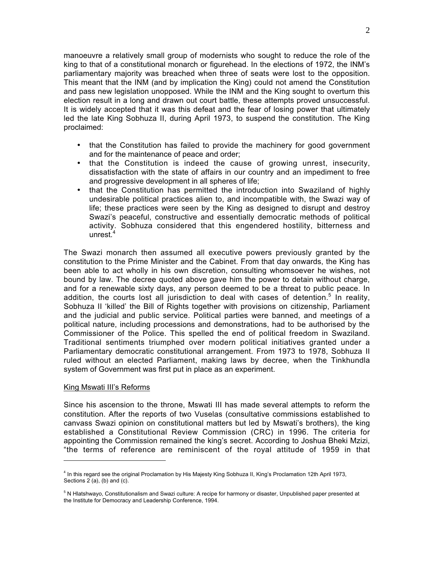manoeuvre a relatively small group of modernists who sought to reduce the role of the king to that of a constitutional monarch or figurehead. In the elections of 1972, the INM's parliamentary majority was breached when three of seats were lost to the opposition. This meant that the INM (and by implication the King) could not amend the Constitution and pass new legislation unopposed. While the INM and the King sought to overturn this election result in a long and drawn out court battle, these attempts proved unsuccessful. It is widely accepted that it was this defeat and the fear of losing power that ultimately led the late King Sobhuza II, during April 1973, to suspend the constitution. The King proclaimed:

- that the Constitution has failed to provide the machinery for good government and for the maintenance of peace and order;
- that the Constitution is indeed the cause of growing unrest, insecurity, dissatisfaction with the state of affairs in our country and an impediment to free and progressive development in all spheres of life;
- that the Constitution has permitted the introduction into Swaziland of highly undesirable political practices alien to, and incompatible with, the Swazi way of life; these practices were seen by the King as designed to disrupt and destroy Swazi's peaceful, constructive and essentially democratic methods of political activity. Sobhuza considered that this engendered hostility, bitterness and unrest. $4$

The Swazi monarch then assumed all executive powers previously granted by the constitution to the Prime Minister and the Cabinet. From that day onwards, the King has been able to act wholly in his own discretion, consulting whomsoever he wishes, not bound by law. The decree quoted above gave him the power to detain without charge, and for a renewable sixty days, any person deemed to be a threat to public peace. In addition, the courts lost all jurisdiction to deal with cases of detention.<sup>5</sup> In reality, Sobhuza II 'killed' the Bill of Rights together with provisions on citizenship, Parliament and the judicial and public service. Political parties were banned, and meetings of a political nature, including processions and demonstrations, had to be authorised by the Commissioner of the Police. This spelled the end of political freedom in Swaziland. Traditional sentiments triumphed over modern political initiatives granted under a Parliamentary democratic constitutional arrangement. From 1973 to 1978, Sobhuza II ruled without an elected Parliament, making laws by decree, when the Tinkhundla system of Government was first put in place as an experiment.

### King Mswati III's Reforms

 $\overline{a}$ 

Since his ascension to the throne, Mswati III has made several attempts to reform the constitution. After the reports of two Vuselas (consultative commissions established to canvass Swazi opinion on constitutional matters but led by Mswati's brothers), the king established a Constitutional Review Commission (CRC) in 1996. The criteria for appointing the Commission remained the king's secret. According to Joshua Bheki Mzizi, "the terms of reference are reminiscent of the royal attitude of 1959 in that

<sup>&</sup>lt;sup>4</sup> In this regard see the original Proclamation by His Majesty King Sobhuza II, King's Proclamation 12th April 1973, Sections  $2(a)$ , (b) and (c).

 $^5$  N Hlatshwayo, Constitutionalism and Swazi culture: A recipe for harmony or disaster, Unpublished paper presented at the Institute for Democracy and Leadership Conference, 1994.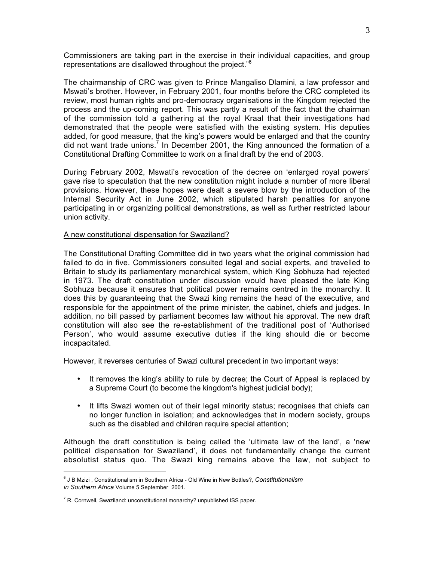Commissioners are taking part in the exercise in their individual capacities, and group representations are disallowed throughout the project."6

The chairmanship of CRC was given to Prince Mangaliso Dlamini, a law professor and Mswati's brother. However, in February 2001, four months before the CRC completed its review, most human rights and pro-democracy organisations in the Kingdom rejected the process and the up-coming report. This was partly a result of the fact that the chairman of the commission told a gathering at the royal Kraal that their investigations had demonstrated that the people were satisfied with the existing system. His deputies added, for good measure, that the king's powers would be enlarged and that the country did not want trade unions.<sup>7</sup> In December 2001, the King announced the formation of a Constitutional Drafting Committee to work on a final draft by the end of 2003.

During February 2002, Mswati's revocation of the decree on 'enlarged royal powers' gave rise to speculation that the new constitution might include a number of more liberal provisions. However, these hopes were dealt a severe blow by the introduction of the Internal Security Act in June 2002, which stipulated harsh penalties for anyone participating in or organizing political demonstrations, as well as further restricted labour union activity.

### A new constitutional dispensation for Swaziland?

The Constitutional Drafting Committee did in two years what the original commission had failed to do in five. Commissioners consulted legal and social experts, and travelled to Britain to study its parliamentary monarchical system, which King Sobhuza had rejected in 1973. The draft constitution under discussion would have pleased the late King Sobhuza because it ensures that political power remains centred in the monarchy. It does this by guaranteeing that the Swazi king remains the head of the executive, and responsible for the appointment of the prime minister, the cabinet, chiefs and judges. In addition, no bill passed by parliament becomes law without his approval. The new draft constitution will also see the re-establishment of the traditional post of 'Authorised Person', who would assume executive duties if the king should die or become incapacitated.

However, it reverses centuries of Swazi cultural precedent in two important ways:

- It removes the king's ability to rule by decree; the Court of Appeal is replaced by a Supreme Court (to become the kingdom's highest judicial body);
- It lifts Swazi women out of their legal minority status; recognises that chiefs can no longer function in isolation; and acknowledges that in modern society, groups such as the disabled and children require special attention;

Although the draft constitution is being called the 'ultimate law of the land', a 'new political dispensation for Swaziland', it does not fundamentally change the current absolutist status quo. The Swazi king remains above the law, not subject to

 $\overline{a}$ 

<sup>6</sup> J B Mzizi , Constitutionalism in Southern Africa - Old Wine in New Bottles?, *Constitutionalism in Southern Africa* Volume 5 September 2001.

 $\rm ^7$  R. Cornwell, Swaziland: unconstitutional monarchy? unpublished ISS paper.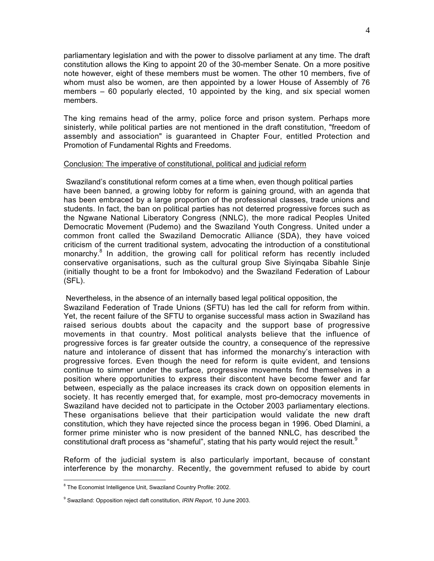parliamentary legislation and with the power to dissolve parliament at any time. The draft constitution allows the King to appoint 20 of the 30-member Senate. On a more positive note however, eight of these members must be women. The other 10 members, five of whom must also be women, are then appointed by a lower House of Assembly of 76 members – 60 popularly elected, 10 appointed by the king, and six special women members.

The king remains head of the army, police force and prison system. Perhaps more sinisterly, while political parties are not mentioned in the draft constitution, "freedom of assembly and association" is guaranteed in Chapter Four, entitled Protection and Promotion of Fundamental Rights and Freedoms.

### Conclusion: The imperative of constitutional, political and judicial reform

 Swaziland's constitutional reform comes at a time when, even though political parties have been banned, a growing lobby for reform is gaining ground, with an agenda that has been embraced by a large proportion of the professional classes, trade unions and students. In fact, the ban on political parties has not deterred progressive forces such as the Ngwane National Liberatory Congress (NNLC), the more radical Peoples United Democratic Movement (Pudemo) and the Swaziland Youth Congress. United under a common front called the Swaziland Democratic Alliance (SDA), they have voiced criticism of the current traditional system, advocating the introduction of a constitutional monarchy.<sup>8</sup> In addition, the growing call for political reform has recently included conservative organisations, such as the cultural group Sive Siyinqaba Sibahle Sinje (initially thought to be a front for Imbokodvo) and the Swaziland Federation of Labour (SFL).

 Nevertheless, in the absence of an internally based legal political opposition, the Swaziland Federation of Trade Unions (SFTU) has led the call for reform from within. Yet, the recent failure of the SFTU to organise successful mass action in Swaziland has raised serious doubts about the capacity and the support base of progressive movements in that country. Most political analysts believe that the influence of progressive forces is far greater outside the country, a consequence of the repressive nature and intolerance of dissent that has informed the monarchy's interaction with progressive forces. Even though the need for reform is quite evident, and tensions continue to simmer under the surface, progressive movements find themselves in a position where opportunities to express their discontent have become fewer and far between, especially as the palace increases its crack down on opposition elements in society. It has recently emerged that, for example, most pro-democracy movements in Swaziland have decided not to participate in the October 2003 parliamentary elections. These organisations believe that their participation would validate the new draft constitution, which they have rejected since the process began in 1996. Obed Dlamini, a former prime minister who is now president of the banned NNLC, has described the constitutional draft process as "shameful", stating that his party would reject the result. $9$ 

Reform of the judicial system is also particularly important, because of constant interference by the monarchy. Recently, the government refused to abide by court

enties<br>The Economist Intelligence Unit, Swaziland Country Profile: 2002.

<sup>9</sup> Swaziland: Opposition reject daft constitution, *IRIN Report*, 10 June 2003.